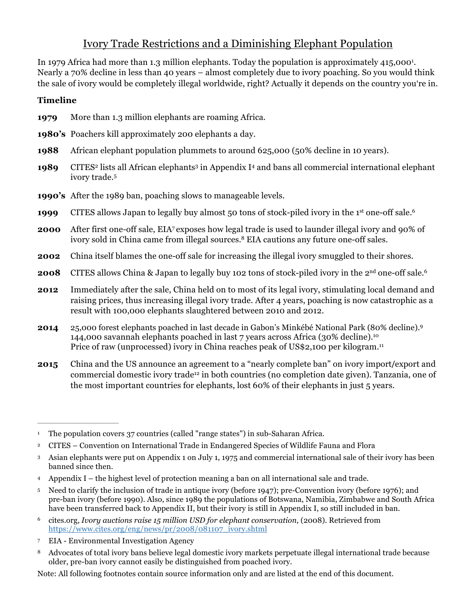## Ivory Trade Restrictions and a Diminishing Elephant Population

In 1979 Africa had more than 1.3 million elephants. Today the population is approximately 415,000<sup>1</sup>. Nearly a 70% decline in less than 40 years – almost completely due to ivory poaching. So you would think the sale of ivory would be completely illegal worldwide, right? Actually it depends on the country you're in.

## **Timeline**

- **1979** More than 1.3 million elephants are roaming Africa.
- **1980's** Poachers kill approximately 200 elephants a day.
- **1988** African elephant population plummets to around 625,000 (50% decline in 10 years).
- **1989** CITES<sup>2</sup> lists all African elephants<sup>3</sup> in Appendix I<sup>4</sup> and bans all commercial international elephant ivory trade. 5
- **1990's** After the 1989 ban, poaching slows to manageable levels.
- **1999** CITES allows Japan to legally buy almost 50 tons of stock-piled ivory in the 1<sup>st</sup> one-off sale.<sup>6</sup>
- **2000** After first one-off sale, EIA7 exposes how legal trade is used to launder illegal ivory and 90% of ivory sold in China came from illegal sources.8 EIA cautions any future one-off sales.
- **2002** China itself blames the one-off sale for increasing the illegal ivory smuggled to their shores.
- **2008** CITES allows China & Japan to legally buy 102 tons of stock-piled ivory in the 2<sup>nd</sup> one-off sale.<sup>6</sup>
- **2012** Immediately after the sale, China held on to most of its legal ivory, stimulating local demand and raising prices, thus increasing illegal ivory trade. After 4 years, poaching is now catastrophic as a result with 100,000 elephants slaughtered between 2010 and 2012.
- **2014** 25,000 forest elephants poached in last decade in Gabon's Minkébé National Park (80% decline). 9 144,000 savannah elephants poached in last 7 years across Africa (30% decline). 10 Price of raw (unprocessed) ivory in China reaches peak of US\$2,100 per kilogram.<sup>11</sup>
- **2015** China and the US announce an agreement to a "nearly complete ban" on ivory import/export and commercial domestic ivory trade12 in both countries (no completion date given). Tanzania, one of the most important countries for elephants, lost 60% of their elephants in just 5 years.

<sup>7</sup> EIA - Environmental Investigation Agency

 $\mathcal{L}=\mathcal{L}=\mathcal{L}=\mathcal{L}=\mathcal{L}=\mathcal{L}=\mathcal{L}=\mathcal{L}=\mathcal{L}=\mathcal{L}=\mathcal{L}=\mathcal{L}=\mathcal{L}=\mathcal{L}=\mathcal{L}=\mathcal{L}=\mathcal{L}=\mathcal{L}=\mathcal{L}=\mathcal{L}=\mathcal{L}=\mathcal{L}=\mathcal{L}=\mathcal{L}=\mathcal{L}=\mathcal{L}=\mathcal{L}=\mathcal{L}=\mathcal{L}=\mathcal{L}=\mathcal{L}=\mathcal{L}=\mathcal{L}=\mathcal{L}=\mathcal{L}=\mathcal{L}=\mathcal{$ 

Note: All following footnotes contain source information only and are listed at the end of this document.

<sup>1</sup> The population covers 37 countries (called "range states") in sub-Saharan Africa.

<sup>2</sup> CITES – Convention on International Trade in Endangered Species of Wildlife Fauna and Flora

<sup>3</sup> Asian elephants were put on Appendix 1 on July 1, 1975 and commercial international sale of their ivory has been banned since then.

<sup>4</sup> Appendix I – the highest level of protection meaning a ban on all international sale and trade.

<sup>5</sup> Need to clarify the inclusion of trade in antique ivory (before 1947); pre-Convention ivory (before 1976); and pre-ban ivory (before 1990). Also, since 1989 the populations of Botswana, Namibia, Zimbabwe and South Africa have been transferred back to Appendix II, but their ivory is still in Appendix I, so still included in ban.

<sup>6</sup> cites.org, *Ivory auctions raise 15 million USD for elephant conservation*, (2008). Retrieved from https://www.cites.org/eng/news/pr/2008/081107\_ivory.shtml

<sup>8</sup> Advocates of total ivory bans believe legal domestic ivory markets perpetuate illegal international trade because older, pre-ban ivory cannot easily be distinguished from poached ivory.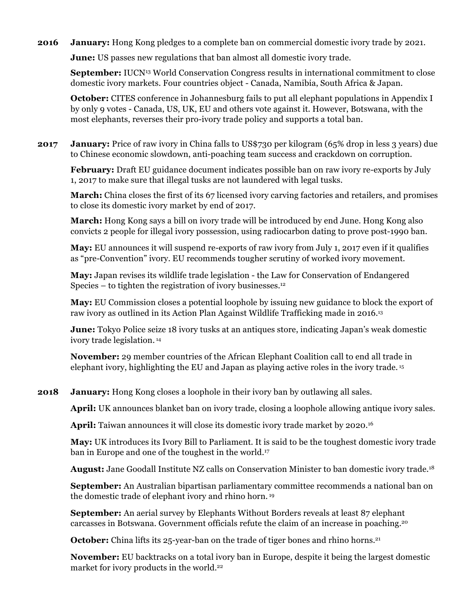**2016 January:** Hong Kong pledges to a complete ban on commercial domestic ivory trade by 2021.

**June:** US passes new regulations that ban almost all domestic ivory trade.

**September:** IUCN<sup>13</sup> World Conservation Congress results in international commitment to close domestic ivory markets. Four countries object - Canada, Namibia, South Africa & Japan.

**October:** CITES conference in Johannesburg fails to put all elephant populations in Appendix I by only 9 votes - Canada, US, UK, EU and others vote against it. However, Botswana, with the most elephants, reverses their pro-ivory trade policy and supports a total ban.

**2017 January:** Price of raw ivory in China falls to US\$730 per kilogram (65% drop in less 3 years) due to Chinese economic slowdown, anti-poaching team success and crackdown on corruption.

**February:** Draft EU guidance document indicates possible ban on raw ivory re-exports by July 1, 2017 to make sure that illegal tusks are not laundered with legal tusks.

**March:** China closes the first of its 67 licensed ivory carving factories and retailers, and promises to close its domestic ivory market by end of 2017.

**March:** Hong Kong says a bill on ivory trade will be introduced by end June. Hong Kong also convicts 2 people for illegal ivory possession, using radiocarbon dating to prove post-1990 ban.

**May:** EU announces it will suspend re-exports of raw ivory from July 1, 2017 even if it qualifies as "pre-Convention" ivory. EU recommends tougher scrutiny of worked ivory movement.

**May:** Japan revises its wildlife trade legislation - the Law for Conservation of Endangered Species – to tighten the registration of ivory businesses.<sup>12</sup>

**May:** EU Commission closes a potential loophole by issuing new guidance to block the export of raw ivory as outlined in its Action Plan Against Wildlife Trafficking made in 2016.13

**June:** Tokyo Police seize 18 ivory tusks at an antiques store, indicating Japan's weak domestic ivory trade legislation. <sup>14</sup>

**November:** 29 member countries of the African Elephant Coalition call to end all trade in elephant ivory, highlighting the EU and Japan as playing active roles in the ivory trade. <sup>15</sup>

**2018 January:** Hong Kong closes a loophole in their ivory ban by outlawing all sales.

**April:** UK announces blanket ban on ivory trade, closing a loophole allowing antique ivory sales.

**April:** Taiwan announces it will close its domestic ivory trade market by 2020.16

**May:** UK introduces its Ivory Bill to Parliament. It is said to be the toughest domestic ivory trade ban in Europe and one of the toughest in the world.17

**August:** Jane Goodall Institute NZ calls on Conservation Minister to ban domestic ivory trade.18

**September:** An Australian bipartisan parliamentary committee recommends a national ban on the domestic trade of elephant ivory and rhino horn. <sup>19</sup>

**September:** An aerial survey by Elephants Without Borders reveals at least 87 elephant carcasses in Botswana. Government officials refute the claim of an increase in poaching.20

**October:** China lifts its 25-year-ban on the trade of tiger bones and rhino horns.<sup>21</sup>

**November:** EU backtracks on a total ivory ban in Europe, despite it being the largest domestic market for ivory products in the world.<sup>22</sup>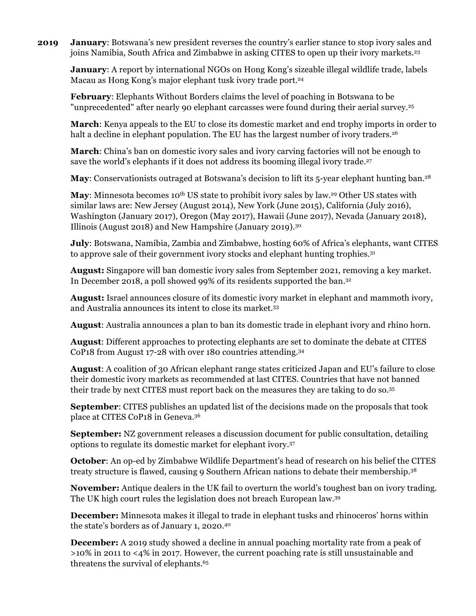**2019 January**: Botswana's new president reverses the country's earlier stance to stop ivory sales and joins Namibia, South Africa and Zimbabwe in asking CITES to open up their ivory markets. 23

**January**: A report by international NGOs on Hong Kong's sizeable illegal wildlife trade, labels Macau as Hong Kong's major elephant tusk ivory trade port. 24

**February**: Elephants Without Borders claims the level of poaching in Botswana to be "unprecedented" after nearly 90 elephant carcasses were found during their aerial survey. 25

**March**: Kenya appeals to the EU to close its domestic market and end trophy imports in order to halt a decline in elephant population. The EU has the largest number of ivory traders. 26

**March**: China's ban on domestic ivory sales and ivory carving factories will not be enough to save the world's elephants if it does not address its booming illegal ivory trade.27

**May**: Conservationists outraged at Botswana's decision to lift its 5-year elephant hunting ban. 28

May: Minnesota becomes 10<sup>th</sup> US state to prohibit ivory sales by law.<sup>29</sup> Other US states with similar laws are: New Jersey (August 2014), New York (June 2015), California (July 2016), Washington (January 2017), Oregon (May 2017), Hawaii (June 2017), Nevada (January 2018), Illinois (August 2018) and New Hampshire (January 2019).30

**July**: Botswana, Namibia, Zambia and Zimbabwe, hosting 60% of Africa's elephants, want CITES to approve sale of their government ivory stocks and elephant hunting trophies.31

**August:** Singapore will ban domestic ivory sales from September 2021, removing a key market. In December 2018, a poll showed 99% of its residents supported the ban.32

**August:** Israel announces closure of its domestic ivory market in elephant and mammoth ivory, and Australia announces its intent to close its market.33

**August**: Australia announces a plan to ban its domestic trade in elephant ivory and rhino horn.

**August**: Different approaches to protecting elephants are set to dominate the debate at CITES CoP18 from August 17-28 with over 180 countries attending. 34

**August**: A coalition of 30 African elephant range states criticized Japan and EU's failure to close their domestic ivory markets as recommended at last CITES. Countries that have not banned their trade by next CITES must report back on the measures they are taking to do so. 35

**September**: CITES publishes an updated list of the decisions made on the proposals that took place at CITES CoP18 in Geneva. 36

**September:** NZ government releases a discussion document for public consultation, detailing options to regulate its domestic market for elephant ivory.37

**October**: An op-ed by Zimbabwe Wildlife Department's head of research on his belief the CITES treaty structure is flawed, causing 9 Southern African nations to debate their membership. 38

**November:** Antique dealers in the UK fail to overturn the world's toughest ban on ivory trading. The UK high court rules the legislation does not breach European law.39

**December:** Minnesota makes it illegal to trade in elephant tusks and rhinoceros' horns within the state's borders as of January 1, 2020.40

**December:** A 2019 study showed a decline in annual poaching mortality rate from a peak of >10% in 2011 to <4% in 2017. However, the current poaching rate is still unsustainable and threatens the survival of elephants.<sup>65</sup>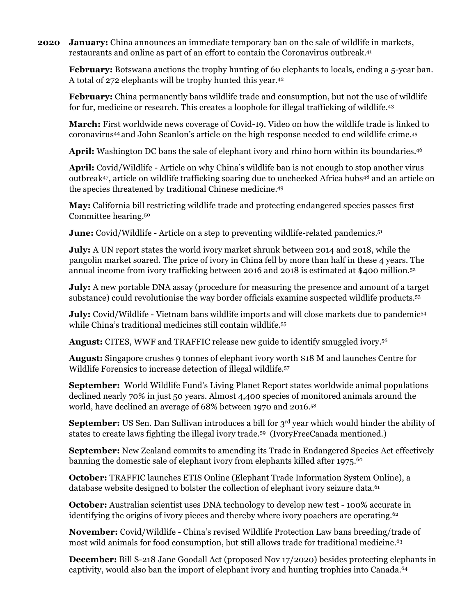**2020 January:** China announces an immediate temporary ban on the sale of wildlife in markets, restaurants and online as part of an effort to contain the Coronavirus outbreak. 41

**February:** Botswana auctions the trophy hunting of 60 elephants to locals, ending a 5-year ban. A total of 272 elephants will be trophy hunted this year. 42

**February:** China permanently bans wildlife trade and consumption, but not the use of wildlife for fur, medicine or research. This creates a loophole for illegal trafficking of wildlife.43

**March:** First worldwide news coverage of Covid-19. Video on how the wildlife trade is linked to coronavirus44 and John Scanlon's article on the high response needed to end wildlife crime.45

**April:** Washington DC bans the sale of elephant ivory and rhino horn within its boundaries.46

**April:** Covid/Wildlife - Article on why China's wildlife ban is not enough to stop another virus outbreak47, article on wildlife trafficking soaring due to unchecked Africa hubs48 and an article on the species threatened by traditional Chinese medicine.49

**May:** California bill restricting wildlife trade and protecting endangered species passes first Committee hearing.50

**June:** Covid/Wildlife - Article on a step to preventing wildlife-related pandemics. 51

**July:** A UN report states the world ivory market shrunk between 2014 and 2018, while the pangolin market soared. The price of ivory in China fell by more than half in these 4 years. The annual income from ivory trafficking between 2016 and 2018 is estimated at \$400 million.52

**July:** A new portable DNA assay (procedure for measuring the presence and amount of a target substance) could revolutionise the way border officials examine suspected wildlife products. 53

**July:** Covid/Wildlife - Vietnam bans wildlife imports and will close markets due to pandemic<sup>54</sup> while China's traditional medicines still contain wildlife. 55

**August:** CITES, WWF and TRAFFIC release new guide to identify smuggled ivory. 56

**August:** Singapore crushes 9 tonnes of elephant ivory worth \$18 M and launches Centre for Wildlife Forensics to increase detection of illegal wildlife.57

**September:** World Wildlife Fund's Living Planet Report states worldwide animal populations declined nearly 70% in just 50 years. Almost 4,400 species of monitored animals around the world, have declined an average of 68% between 1970 and 2016.58

**September:** US Sen. Dan Sullivan introduces a bill for 3<sup>rd</sup> year which would hinder the ability of states to create laws fighting the illegal ivory trade. 59 (IvoryFreeCanada mentioned.)

**September:** New Zealand commits to amending its Trade in Endangered Species Act effectively banning the domestic sale of elephant ivory from elephants killed after 1975.<sup>60</sup>

**October:** TRAFFIC launches ETIS Online (Elephant Trade Information System Online), a database website designed to bolster the collection of elephant ivory seizure data. 61

**October:** Australian scientist uses DNA technology to develop new test - 100% accurate in identifying the origins of ivory pieces and thereby where ivory poachers are operating.<sup>62</sup>

**November:** Covid/Wildlife - China's revised Wildlife Protection Law bans breeding/trade of most wild animals for food consumption, but still allows trade for traditional medicine.<sup>63</sup>

**December:** Bill S-218 Jane Goodall Act (proposed Nov 17/2020) besides protecting elephants in captivity, would also ban the import of elephant ivory and hunting trophies into Canada. 64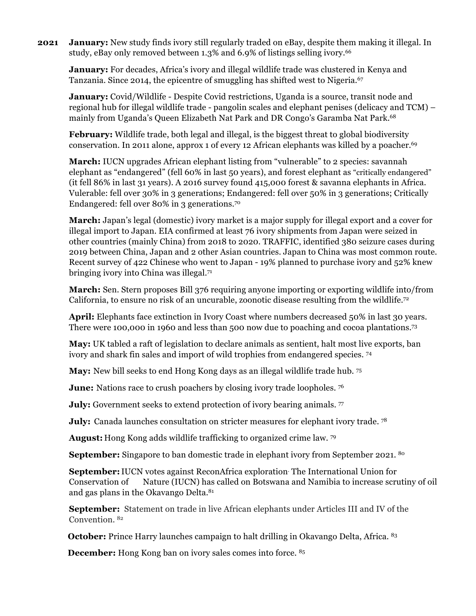**2021 January:** New study finds ivory still regularly traded on eBay, despite them making it illegal. In study, eBay only removed between 1.3% and 6.9% of listings selling ivory.<sup>66</sup>

**January:** For decades, Africa's ivory and illegal wildlife trade was clustered in Kenya and Tanzania. Since 2014, the epicentre of smuggling has shifted west to Nigeria.<sup>67</sup>

**January:** Covid/Wildlife - Despite Covid restrictions, Uganda is a source, transit node and regional hub for illegal wildlife trade - pangolin scales and elephant penises (delicacy and TCM) – mainly from Uganda's Queen Elizabeth Nat Park and DR Congo's Garamba Nat Park.68

**February:** Wildlife trade, both legal and illegal, is the biggest threat to global biodiversity conservation. In 2011 alone, approx 1 of every 12 African elephants was killed by a poacher. 69

**March:** IUCN upgrades African elephant listing from "vulnerable" to 2 species: savannah elephant as "endangered" (fell 60% in last 50 years), and forest elephant as "critically endangered" (it fell 86% in last 31 years). A 2016 survey found 415,000 forest & savanna elephants in Africa. Vulerable: fell over 30% in 3 generations; Endangered: fell over 50% in 3 generations; Critically Endangered: fell over 80% in 3 generations. 70

**March:** Japan's legal (domestic) ivory market is a major supply for illegal export and a cover for illegal import to Japan. EIA confirmed at least 76 ivory shipments from Japan were seized in other countries (mainly China) from 2018 to 2020. TRAFFIC, identified 380 seizure cases during 2019 between China, Japan and 2 other Asian countries. Japan to China was most common route. Recent survey of 422 Chinese who went to Japan - 19% planned to purchase ivory and 52% knew bringing ivory into China was illegal.71

**March:** Sen. Stern proposes Bill 376 requiring anyone importing or exporting wildlife into/from California, to ensure no risk of an uncurable, zoonotic disease resulting from the wildlife.<sup>72</sup>

April: Elephants face extinction in Ivory Coast where numbers decreased 50% in last 30 years. There were 100,000 in 1960 and less than 500 now due to poaching and cocoa plantations. 73

**May:** UK tabled a raft of legislation to declare animals as sentient, halt most live exports, ban ivory and shark fin sales and import of wild trophies from endangered species. 74

**May:** New bill seeks to end Hong Kong days as an illegal wildlife trade hub. 75

**June:** Nations race to crush poachers by closing ivory trade loopholes. <sup>76</sup>

**July:** Government seeks to extend protection of ivory bearing animals. 77

**July:** Canada launches consultation on stricter measures for elephant ivory trade.<sup>78</sup>

**August:** Hong Kong adds wildlife trafficking to organized crime law. 79

**September:** Singapore to ban domestic trade in elephant ivory from September 2021. <sup>80</sup>

**September:**IUCN votes against ReconAfrica exploration. The International Union for Conservation of Nature (IUCN) has called on Botswana and Namibia to increase scrutiny of oil and gas plans in the Okavango Delta.<sup>81</sup>

**September:** Statement on trade in live African elephants under Articles III and IV of the Convention. 82

**October:** Prince Harry launches campaign to halt drilling in Okavango Delta, Africa. 83

**December:** Hong Kong ban on ivory sales comes into force. <sup>85</sup>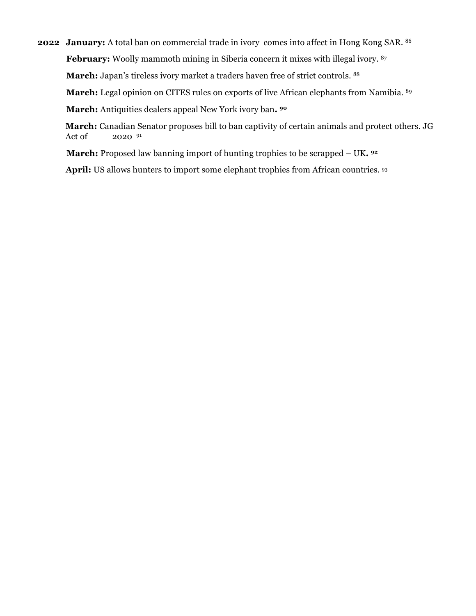**2022 January:** A total ban on commercial trade in ivory comes into affect in Hong Kong SAR. 86 February: Woolly mammoth mining in Siberia concern it mixes with illegal ivory. <sup>87</sup> **March:** Japan's tireless ivory market a traders haven free of strict controls. 88

March: Legal opinion on CITES rules on exports of live African elephants from Namibia. 89

**March:** Antiquities dealers appeal New York ivory ban**. 90**

**March:** Canadian Senator proposes bill to ban captivity of certain animals and protect others. JG Act of 2020 91

 **March:** Proposed law banning import of hunting trophies to be scrapped – UK**. 92**

 **April:** US allows hunters to import some elephant trophies from African countries. 93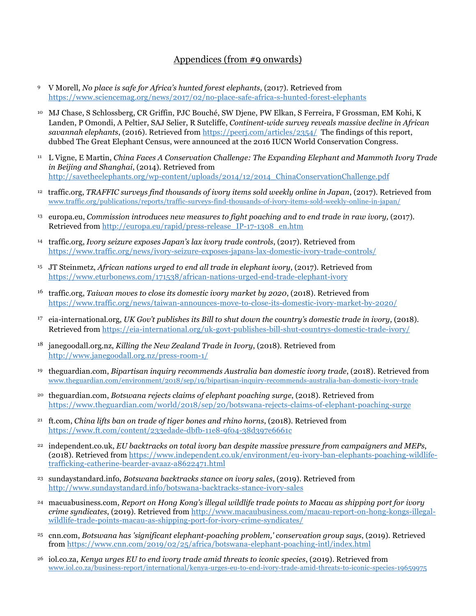## Appendices (from #9 onwards)

- 9 V Morell, *No place is safe for Africa's hunted forest elephants*, (2017). Retrieved from https://www.sciencemag.org/news/2017/02/no-place-safe-africa-s-hunted-forest-elephants
- <sup>10</sup> MJ Chase, S Schlossberg, CR Griffin, PJC Bouché, SW Djene, PW Elkan, S Ferreira, F Grossman, EM Kohi, K Landen, P Omondi, A Peltier, SAJ Selier, R Sutcliffe, *Continent-wide survey reveals massive decline in African savannah elephants*, (2016). Retrieved from https://peerj.com/articles/2354/ The findings of this report, dubbed The Great Elephant Census, were announced at the 2016 IUCN World Conservation Congress.
- <sup>11</sup> L Vigne, E Martin, *China Faces A Conservation Challenge: The Expanding Elephant and Mammoth Ivory Trade in Beijing and Shanghai*, (2014). Retrieved from http://savetheelephants.org/wp-content/uploads/2014/12/2014\_ChinaConservationChallenge.pdf
- 12 traffic.org, *TRAFFIC surveys find thousands of ivory items sold weekly online in Japan*, (2017). Retrieved from www.traffic.org/publications/reports/traffic-surveys-find-thousands-of-ivory-items-sold-weekly-online-in-japan/
- <sup>13</sup> europa.eu, *Commission introduces new measures to fight poaching and to end trade in raw ivory,* (2017). Retrieved from http://europa.eu/rapid/press-release IP-17-1308 en.htm
- <sup>14</sup> traffic.org, *Ivory seizure exposes Japan's lax ivory trade controls*, (2017). Retrieved from https://www.traffic.org/news/ivory-seizure-exposes-japans-lax-domestic-ivory-trade-controls/
- <sup>15</sup> JT Steinmetz, *African nations urged to end all trade in elephant ivory*, (2017). Retrieved from https://www.eturbonews.com/171538/african-nations-urged-end-trade-elephant-ivory
- <sup>16</sup> traffic.org, *Taiwan moves to close its domestic ivory market by 2020*, (2018). Retrieved from https://www.traffic.org/news/taiwan-announces-move-to-close-its-domestic-ivory-market-by-2020/
- <sup>17</sup> eia-international.org, *UK Gov't publishes its Bill to shut down the country's domestic trade in ivory*, (2018). Retrieved from https://eia-international.org/uk-govt-publishes-bill-shut-countrys-domestic-trade-ivory/
- <sup>18</sup> janegoodall.org.nz, *Killing the New Zealand Trade in Ivory*, (2018). Retrieved from http://www.janegoodall.org.nz/press-room-1/
- <sup>19</sup> theguardian.com, *Bipartisan inquiry recommends Australia ban domestic ivory trade*, (2018). Retrieved from www.theguardian.com/environment/2018/sep/19/bipartisan-inquiry-recommends-australia-ban-domestic-ivory-trade
- <sup>20</sup> theguardian.com, *Botswana rejects claims of elephant poaching surge*, (2018). Retrieved from https://www.theguardian.com/world/2018/sep/20/botswana-rejects-claims-of-elephant-poaching-surge
- <sup>21</sup> ft.com, *China lifts ban on trade of tiger bones and rhino horns*, (2018). Retrieved from https://www.ft.com/content/233edade-dbfb-11e8-9f04-38d397e6661c
- <sup>22</sup> independent.co.uk, *EU backtracks on total ivory ban despite massive pressure from campaigners and MEPs*, (2018). Retrieved from https://www.independent.co.uk/environment/eu-ivory-ban-elephants-poaching-wildlifetrafficking-catherine-bearder-avaaz-a8622471.html
- <sup>23</sup> sundaystandard.info, *Botswana backtracks stance on ivory sales*, (2019). Retrieved from http://www.sundaystandard.info/botswana-backtracks-stance-ivory-sales
- <sup>24</sup> macuabusiness.com, *Report on Hong Kong's illegal wildlife trade points to Macau as shipping port for ivory crime syndicates*, (2019). Retrieved from http://www.macaubusiness.com/macau-report-on-hong-kongs-illegalwildlife-trade-points-macau-as-shipping-port-for-ivory-crime-syndicates/
- <sup>25</sup> cnn.com, *Botswana has 'significant elephant-poaching problem,' conservation group says*, (2019). Retrieved from https://www.cnn.com/2019/02/25/africa/botswana-elephant-poaching-intl/index.html
- <sup>26</sup> iol.co.za, *Kenya urges EU to end ivory trade amid threats to iconic species*, (2019). Retrieved from www.iol.co.za/business-report/international/kenya-urges-eu-to-end-ivory-trade-amid-threats-to-iconic-species-19659975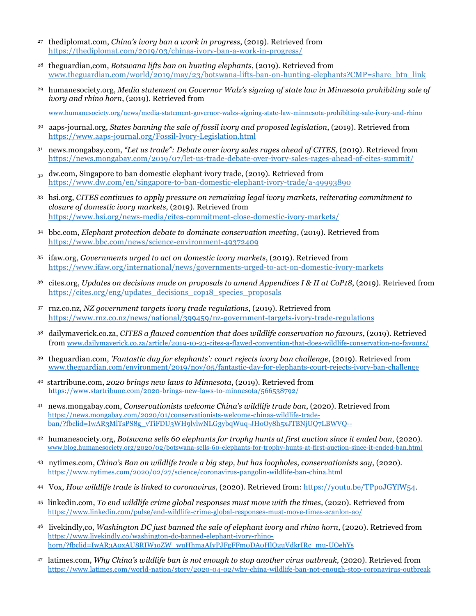- <sup>27</sup> thediplomat.com, *China's ivory ban a work in progress*, (2019). Retrieved from https://thediplomat.com/2019/03/chinas-ivory-ban-a-work-in-progress/
- <sup>28</sup> theguardian,com, *Botswana lifts ban on hunting elephants*, (2019). Retrieved from www.theguardian.com/world/2019/may/23/botswana-lifts-ban-on-hunting-elephants?CMP=share\_btn\_link
- <sup>29</sup> humanesociety.org, *Media statement on Governor Walz's signing of state law in Minnesota prohibiting sale of ivory and rhino horn*, (2019). Retrieved from

www.humanesociety.org/news/media-statement-governor-walzs-signing-state-law-minnesota-prohibiting-sale-ivory-and-rhino

- 30 aaps-journal.org, *States banning the sale of fossil ivory and proposed legislation*, (2019). Retrieved from https://www.aaps-journal.org/Fossil-Ivory-Legislation.html
- <sup>31</sup> news.mongabay.com, *"Let us trade": Debate over ivory sales rages ahead of CITES,* (2019). Retrieved from https://news.mongabay.com/2019/07/let-us-trade-debate-over-ivory-sales-rages-ahead-of-cites-summit/
- $32$  dw.com, Singapore to ban domestic elephant ivory trade, (2019). Retrieved from https://www.dw.com/en/singapore-to-ban-domestic-elephant-ivory-trade/a-49993890
- <sup>33</sup> hsi.org, *CITES continues to apply pressure on remaining legal ivory markets, reiterating commitment to closure of domestic ivory markets*, (2019). Retrieved from https://www.hsi.org/news-media/cites-commitment-close-domestic-ivory-markets/
- <sup>34</sup> bbc.com, *Elephant protection debate to dominate conservation meeting*, (2019). Retrieved from https://www.bbc.com/news/science-environment-49372409
- <sup>35</sup> ifaw.org, *Governments urged to act on domestic ivory markets*, (2019). Retrieved from https://www.ifaw.org/international/news/governments-urged-to-act-on-domestic-ivory-markets
- <sup>36</sup> cites.org, *Updates on decisions made on proposals to amend Appendices I & II at CoP18*, (2019). Retrieved from https://cites.org/eng/updates\_decisions\_cop18\_species\_proposals
- <sup>37</sup> rnz.co.nz, *NZ government targets ivory trade regulations*, (2019). Retrieved from https://www.rnz.co.nz/news/national/399459/nz-government-targets-ivory-trade-regulations
- <sup>38</sup> dailymaverick.co.za, *CITES a flawed convention that does wildlife conservation no favours*, (2019). Retrieved from www.dailymaverick.co.za/article/2019-10-23-cites-a-flawed-convention-that-does-wildlife-conservation-no-favours/
- <sup>39</sup> theguardian.com, *'Fantastic day for elephants': court rejects ivory ban challenge*, (2019). Retrieved from www.theguardian.com/environment/2019/nov/05/fantastic-day-for-elephants-court-rejects-ivory-ban-challenge
- 40 startribune.com, *2020 brings new laws to Minnesota*, (2019). Retrieved from https://www.startribune.com/2020-brings-new-laws-to-minnesota/566538792/
- 41 news.mongabay.com, *Conservationists welcome China's wildlife trade ban*, (2020). Retrieved from https://news.mongabay.com/2020/01/conservationists-welcome-chinas-wildlife-tradeban/?fbclid=IwAR3MlTsPS8g\_vTiFDU3WH9lvlwNLG3ybqWuq-JHoOy8h5xJTBNjUQ7LBWVQ--
- 42 humanesociety.org, *Botswana sells 60 elephants for trophy hunts at first auction since it ended ban*, (2020). www.blog.humanesociety.org/2020/02/botswana-sells-60-elephants-for-trophy-hunts-at-first-auction-since-it-ended-ban.html
- 43 nytimes.com, *China's Ban on wildlife trade a big step, but has loopholes, conservationists say*, (2020). https://www.nytimes.com/2020/02/27/science/coronavirus-pangolin-wildlife-ban-china.html
- 44 Vox, *How wildlife trade is linked to coronavirus*, (2020). Retrieved from: https://youtu.be/TPpoJGYlW54.
- <sup>45</sup> linkedin.com, *To end wildlife crime global responses must move with the times,* (2020). Retrieved from https://www.linkedin.com/pulse/end-wildlife-crime-global-responses-must-move-times-scanlon-ao/
- 46 livekindly,co, *Washington DC just banned the sale of elephant ivory and rhino horn*, (2020). Retrieved from https://www.livekindly.co/washington-dc-banned-elephant-ivory-rhinohorn/?fbclid=IwAR3A0xAU8RIW1oZW\_wuHhmaAIyPJFgFFm0DA0HlQ2uVdkrIRc\_mu-UOehYs
- <sup>47</sup> latimes.com, *Why China's wildlife ban is not enough to stop another virus outbreak,* (2020). Retrieved from https://www.latimes.com/world-nation/story/2020-04-02/why-china-wildlife-ban-not-enough-stop-coronavirus-outbreak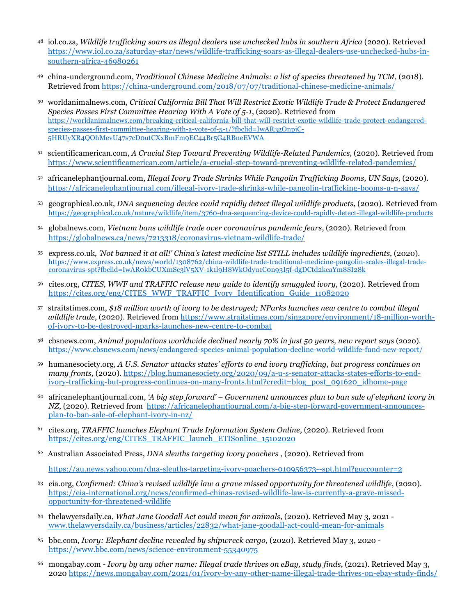- <sup>48</sup> iol.co.za, *Wildlife trafficking soars as illegal dealers use unchecked hubs in southern Africa* (2020). Retrieved https://www.iol.co.za/saturday-star/news/wildlife-trafficking-soars-as-illegal-dealers-use-unchecked-hubs-insouthern-africa-46980261
- 49 china-underground.com, *Traditional Chinese Medicine Animals: a list of species threatened by TCM*, (2018). Retrieved from https://china-underground.com/2018/07/07/traditional-chinese-medicine-animals/
- <sup>50</sup> worldanimalnews.com, *Critical California Bill That Will Restrict Exotic Wildlife Trade & Protect Endangered Species Passes First Committee Hearing With A Vote of 5-1*, (2020). Retrieved from https://worldanimalnews.com/breaking-critical-california-bill-that-will-restrict-exotic-wildlife-trade-protect-endangeredspecies-passes-first-committee-hearing-with-a-vote-of-5-1/?fbclid=IwAR3gOnpjC-5HRUyXR4QOhMevU47s7cD0utCXxBmFm9EC44Br5G4RBneEVWA
- <sup>51</sup> scientificamerican.com, *A Crucial Step Toward Preventing Wildlife-Related Pandemics*, (2020). Retrieved from https://www.scientificamerican.com/article/a-crucial-step-toward-preventing-wildlife-related-pandemics/
- <sup>52</sup> africanelephantjournal.com, *Illegal Ivory Trade Shrinks While Pangolin Trafficking Booms, UN Says,* (2020). https://africanelephantjournal.com/illegal-ivory-trade-shrinks-while-pangolin-trafficking-booms-u-n-says/
- <sup>53</sup> geographical.co.uk, *DNA sequencing device could rapidly detect illegal wildlife products*, (2020). Retrieved from https://geographical.co.uk/nature/wildlife/item/3760-dna-sequencing-device-could-rapidly-detect-illegal-wildlife-products
- <sup>54</sup> globalnews.com, *Vietnam bans wildlife trade over coronavirus pandemic fears*, (2020). Retrieved from https://globalnews.ca/news/7213318/coronavirus-vietnam-wildlife-trade/
- <sup>55</sup> express.co.uk*, 'Not banned it at all!' China's latest medicine list STILL includes wildlife ingredients*, (2020). https://www.express.co.uk/news/world/1308762/china-wildlife-trade-traditional-medicine-pangolin-scales-illegal-tradecoronavirus-spt?fbclid=IwAR0kbCUXmSc3lV5XV-1k1l9H8WkOdyu1C0n93I5f-dgDCtd2kcaYm8SI28k
- <sup>56</sup> cites.org, *CITES, WWF and TRAFFIC release new guide to identify smuggled ivory*, (2020). Retrieved from https://cites.org/eng/CITES\_WWF\_TRAFFIC\_Ivory\_Identification\_Guide\_11082020
- <sup>57</sup> straitstimes.com, *\$18 million worth of ivory to be destroyed; NParks launches new centre to combat illegal wildlife trade*, (2020). Retrieved from https://www.straitstimes.com/singapore/environment/18-million-worthof-ivory-to-be-destroyed-nparks-launches-new-centre-to-combat
- <sup>58</sup> cbsnews.com, *Animal populations worldwide declined nearly 70% in just 50 years, new report says* (2020). https://www.cbsnews.com/news/endangered-species-animal-population-decline-world-wildlife-fund-new-report/
- <sup>59</sup> humanesociety.org, *A U.S. Senator attacks states' efforts to end ivory trafficking, but progress continues on many fronts,* (2020). https://blog.humanesociety.org/2020/09/a-u-s-senator-attacks-states-efforts-to-endivory-trafficking-but-progress-continues-on-many-fronts.html?credit=blog\_post\_091620\_idhome-page
- <sup>60</sup> africanelephantjournal.com, *'A big step forward' Government announces plan to ban sale of elephant ivory in NZ*, (2020). Retrieved from https://africanelephantjournal.com/a-big-step-forward-government-announcesplan-to-ban-sale-of-elephant-ivory-in-nz/
- <sup>61</sup> cites.org, *TRAFFIC launches Elephant Trade Information System Online*, (2020). Retrieved from https://cites.org/eng/CITES\_TRAFFIC\_launch\_ETISonline\_15102020
- <sup>62</sup> Australian Associated Press, *DNA sleuths targeting ivory poachers* , (2020). Retrieved from

https://au.news.yahoo.com/dna-sleuths-targeting-ivory-poachers-010956373--spt.html?guccounter=2

- <sup>63</sup> eia.org, *Confirmed: China's revised wildlife law a grave missed opportunity for threatened wildlife*, (2020). https://eia-international.org/news/confirmed-chinas-revised-wildlife-law-is-currently-a-grave-missedopportunity-for-threatened-wildlife
- <sup>64</sup> thelawyersdaily.ca, *What Jane Goodall Act could mean for animals*, (2020). Retrieved May 3, 2021 www.thelawyersdaily.ca/business/articles/22832/what-jane-goodall-act-could-mean-for-animals
- <sup>65</sup> bbc.com, *Ivory: Elephant decline revealed by shipwreck cargo*, (2020). Retrieved May 3, 2020 https://www.bbc.com/news/science-environment-55340975
- <sup>66</sup> mongabay.com *Ivory by any other name: Illegal trade thrives on eBay, study finds*, (2021). Retrieved May 3, 2020 https://news.mongabay.com/2021/01/ivory-by-any-other-name-illegal-trade-thrives-on-ebay-study-finds/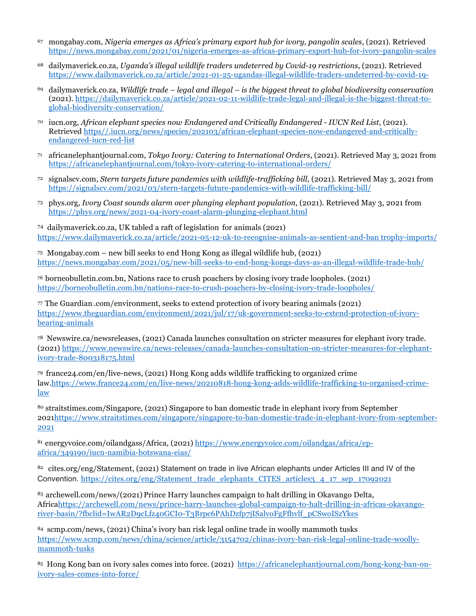- <sup>67</sup> mongabay.com, *Nigeria emerges as Africa's primary export hub for ivory, pangolin scales*, (2021). Retrieved https://news.mongabay.com/2021/01/nigeria-emerges-as-africas-primary-export-hub-for-ivory-pangolin-scales
- <sup>68</sup> dailymaverick.co.za, *Uganda's illegal wildlife traders undeterred by Covid-19 restrictions*, (2021). Retrieved https://www.dailymaverick.co.za/article/2021-01-25-ugandas-illegal-wildlife-traders-undeterred-by-covid-19-
- <sup>69</sup> dailymaverick.co.za, *Wildlife trade legal and illegal is the biggest threat to global biodiversity conservation* (2021). https://dailymaverick.co.za/article/2021-02-11-wildlife-trade-legal-and-illegal-is-the-biggest-threat-toglobal-biodiversity-conservation/
- <sup>70</sup> iucn.org, *African elephant species now Endangered and Critically Endangered IUCN Red List*, (2021). Retrieved https//.iucn.org/news/species/202103/african-elephant-species-now-endangered-and-criticallyendangered-iucn-red-list
- <sup>71</sup> africanelephantjournal.com, *Tokyo Ivory: Catering to International Orders*, (2021). Retrieved May 3, 2021 from https://africanelephantjournal.com/tokyo-ivory-catering-to-international-orders/
- <sup>72</sup> signalscv.com, *Stern targets future pandemics with wildlife-trafficking bill*, (2021). Retrieved May 3, 2021 from https://signalscv.com/2021/03/stern-targets-future-pandemics-with-wildlife-trafficking-bill/
- <sup>73</sup> phys.org, *Ivory Coast sounds alarm over plunging elephant population*, (2021). Retrieved May 3, 2021 from https://phys.org/news/2021-04-ivory-coast-alarm-plunging-elephant.html

74 dailymaverick.co.za, UK tabled a raft of legislation for animals (2021) https://www.dailymaverick.co.za/article/2021-05-12-uk-to-recognise-animals-as-sentient-and-ban trophy-imports/

75 Mongabay.com – new bill seeks to end Hong Kong as illegal wildlife hub, (2021) https://news.mongabay.com/2021/05/new-bill-seeks-to-end-hong-kongs-days-as-an-illegal-wildlife-trade-hub/

<sup>76</sup> borneobulletin.com.bn, Nations race to crush poachers by closing ivory trade loopholes. (2021) https://borneobulletin.com.bn/nations-race-to-crush-poachers-by-closing-ivory-trade-loopholes/

77 The Guardian. .com/environment, seeks to extend protection of ivory bearing animals (2021) https://www.theguardian.com/environment/2021/jul/17/uk-government-seeks-to-extend-protection-of-ivorybearing-animals

78 Newswire.ca/newsreleases, (2021) Canada launches consultation on stricter measures for elephant ivory trade. (2021) https://www.newswire.ca/news-releases/canada-launches-consultation-on-stricter-measures-for-elephantivory-trade-800318175.html

79 france24.com/en/live-news, (2021) Hong Kong adds wildlife trafficking to organized crime law.https://www.france24.com/en/live-news/20210818-hong-kong-adds-wildlife-trafficking-to-organised-crimelaw

80 straitstimes.com/Singapore, (2021) Singapore to ban domestic trade in elephant ivory from September 2021https://www.straitstimes.com/singapore/singapore-to-ban-domestic-trade-in-elephant-ivory-from-september-2021

81 energyvoice.com/oilandgass/Africa, (2021) https://www.energyvoice.com/oilandgas/africa/epafrica/349190/iucn-namibia-botswana-eias/

82 cites.org/eng/Statement, (2021) Statement on trade in live African elephants under Articles III and IV of the Convention. https://cites.org/eng/Statement\_trade\_elephants\_CITES\_articles3\_4\_17\_sep\_17092021

83 archewell.com/news/(2021) Prince Harry launches campaign to halt drilling in Okavango Delta, Africahttps://archewell.com/news/prince-harry-launches-global-campaign-to-halt-drilling-in-africas-okavangoriver-basin/?fbclid=IwAR2D9cLfz40GCI0-T3Brpc6PAhDzfp7jISalvoFgFfhvlf\_pCSwoISzYkes

84 scmp.com/news, (2021) China's ivory ban risk legal online trade in woolly mammoth tusks https://www.scmp.com/news/china/science/article/3154702/chinas-ivory-ban-risk-legal-online-trade-woollymammoth-tusks

85 Hong Kong ban on ivory sales comes into force. (2021) https://africanelephantjournal.com/hong-kong-ban-onivory-sales-comes-into-force/